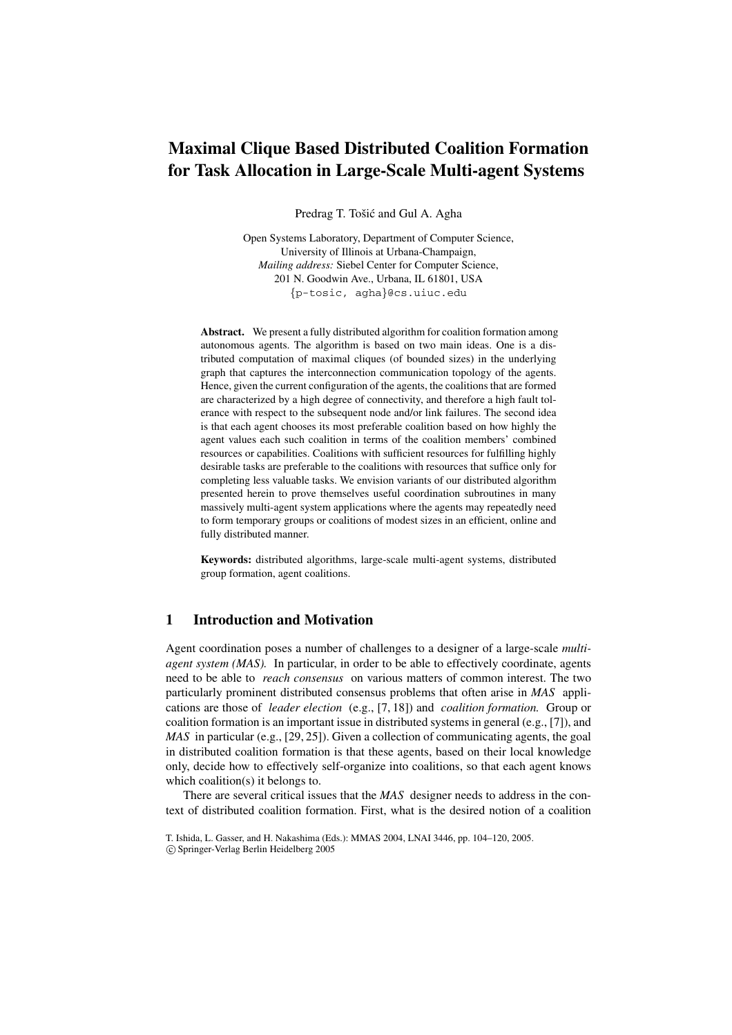# <span id="page-0-0"></span>**Maximal Clique Based Distributed Coalition Formation for Task Allocation in Large-Scale Multi-agent Systems**

Predrag T. Tošić and Gul A. Agha

Open Systems Laboratory, Department of Computer Science, University of Illinois at Urbana-Champaign, *Mailing address:* Siebel Center for Computer Science, 201 N. Goodwin Ave., Urbana, IL 61801, USA {p-tosic, agha}@cs.uiuc.edu

**Abstract.** We present a fully distributed algorithm for coalition formation among autonomous agents. The algorithm is based on two main ideas. One is a distributed computation of maximal cliques (of bounded sizes) in the underlying graph that captures the interconnection communication topology of the agents. Hence, given the current configuration of the agents, the coalitions that are formed are characterized by a high degree of connectivity, and therefore a high fault tolerance with respect to the subsequent node and/or link failures. The second idea is that each agent chooses its most preferable coalition based on how highly the agent values each such coalition in terms of the coalition members' combined resources or capabilities. Coalitions with sufficient resources for fulfilling highly desirable tasks are preferable to the coalitions with resources that suffice only for completing less valuable tasks. We envision variants of our distributed algorithm presented herein to prove themselves useful coordination subroutines in many massively multi-agent system applications where the agents may repeatedly need to form temporary groups or coalitions of modest sizes in an efficient, online and fully distributed manner.

**Keywords:** distributed algorithms, large-scale multi-agent systems, distributed group formation, agent coalitions.

# **1 Introduction and Motivation**

Agent coordination poses a number of challenges to a designer of a large-scale *multiagent system (MAS).* In particular, in order to be able to effectively coordinate, agents need to be able to *reach consensus* on various matters of common interest. The two particularly prominent distributed consensus problems that often arise in *MAS* applications are those of *leader election* (e.g., [\[7,](#page-15-0) [18\]](#page-16-0)) and *coalition formation.* Group or coalition formation is an important issue in distributed systems in general (e.g., [\[7\]](#page-15-0)), and *MAS* in particular (e.g., [\[29,](#page-16-1) [25\]](#page-16-2)). Given a collection of communicating agents, the goal in distributed coalition formation is that these agents, based on their local knowledge only, decide how to effectively self-organize into coalitions, so that each agent knows which coalition(s) it belongs to.

There are several critical issues that the *MAS* designer needs to address in the context of distributed coalition formation. First, what is the desired notion of a coalition

T. Ishida, L. Gasser, and H. Nakashima (Eds.): MMAS 2004, LNAI 3446, pp. [104](#page-0-0)[–120,](#page-16-3) 2005. c Springer-Verlag Berlin Heidelberg 2005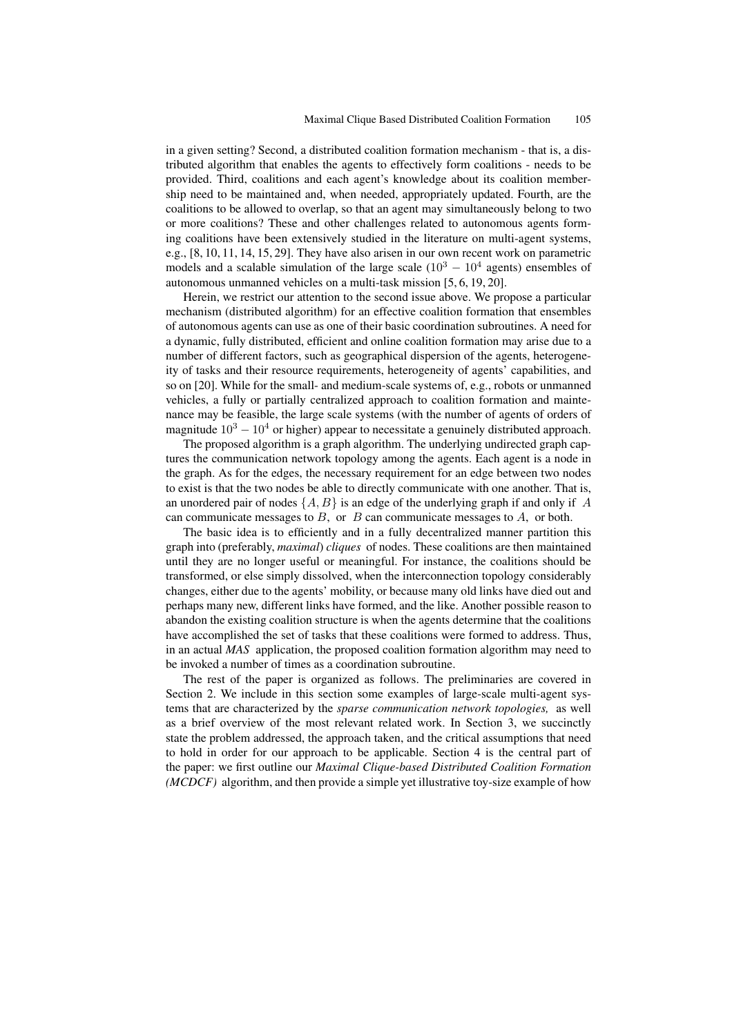in a given setting? Second, a distributed coalition formation mechanism - that is, a distributed algorithm that enables the agents to effectively form coalitions - needs to be provided. Third, coalitions and each agent's knowledge about its coalition membership need to be maintained and, when needed, appropriately updated. Fourth, are the coalitions to be allowed to overlap, so that an agent may simultaneously belong to two or more coalitions? These and other challenges related to autonomous agents forming coalitions have been extensively studied in the literature on multi-agent systems, e.g., [\[8,](#page-15-1) [10,](#page-15-2) [11,](#page-15-3) [14,](#page-15-4) [15,](#page-15-5) [29\]](#page-16-1). They have also arisen in our own recent work on parametric models and a scalable simulation of the large scale  $(10^3 - 10^4$  agents) ensembles of autonomous unmanned vehicles on a multi-task mission [\[5,](#page-15-6) [6,](#page-15-7) [19,](#page-16-4) [20\]](#page-16-5).

Herein, we restrict our attention to the second issue above. We propose a particular mechanism (distributed algorithm) for an effective coalition formation that ensembles of autonomous agents can use as one of their basic coordination subroutines. A need for a dynamic, fully distributed, efficient and online coalition formation may arise due to a number of different factors, such as geographical dispersion of the agents, heterogeneity of tasks and their resource requirements, heterogeneity of agents' capabilities, and so on [\[20\]](#page-16-5). While for the small- and medium-scale systems of, e.g., robots or unmanned vehicles, a fully or partially centralized approach to coalition formation and maintenance may be feasible, the large scale systems (with the number of agents of orders of magnitude  $10^3 - 10^4$  or higher) appear to necessitate a genuinely distributed approach.

The proposed algorithm is a graph algorithm. The underlying undirected graph captures the communication network topology among the agents. Each agent is a node in the graph. As for the edges, the necessary requirement for an edge between two nodes to exist is that the two nodes be able to directly communicate with one another. That is, an unordered pair of nodes {*A, B*} is an edge of the underlying graph if and only if *A* can communicate messages to *B*, or *B* can communicate messages to *A*, or both.

The basic idea is to efficiently and in a fully decentralized manner partition this graph into (preferably, *maximal*) *cliques* of nodes. These coalitions are then maintained until they are no longer useful or meaningful. For instance, the coalitions should be transformed, or else simply dissolved, when the interconnection topology considerably changes, either due to the agents' mobility, or because many old links have died out and perhaps many new, different links have formed, and the like. Another possible reason to abandon the existing coalition structure is when the agents determine that the coalitions have accomplished the set of tasks that these coalitions were formed to address. Thus, in an actual *MAS* application, the proposed coalition formation algorithm may need to be invoked a number of times as a coordination subroutine.

The rest of the paper is organized as follows. The preliminaries are covered in Section [2.](#page-2-0) We include in this section some examples of large-scale multi-agent systems that are characterized by the *sparse communication network topologies,* as well as a brief overview of the most relevant related work. In Section [3,](#page-4-0) we succinctly state the problem addressed, the approach taken, and the critical assumptions that need to hold in order for our approach to be applicable. Section [4](#page-5-0) is the central part of the paper: we first outline our *Maximal Clique-based Distributed Coalition Formation (MCDCF)* algorithm, and then provide a simple yet illustrative toy-size example of how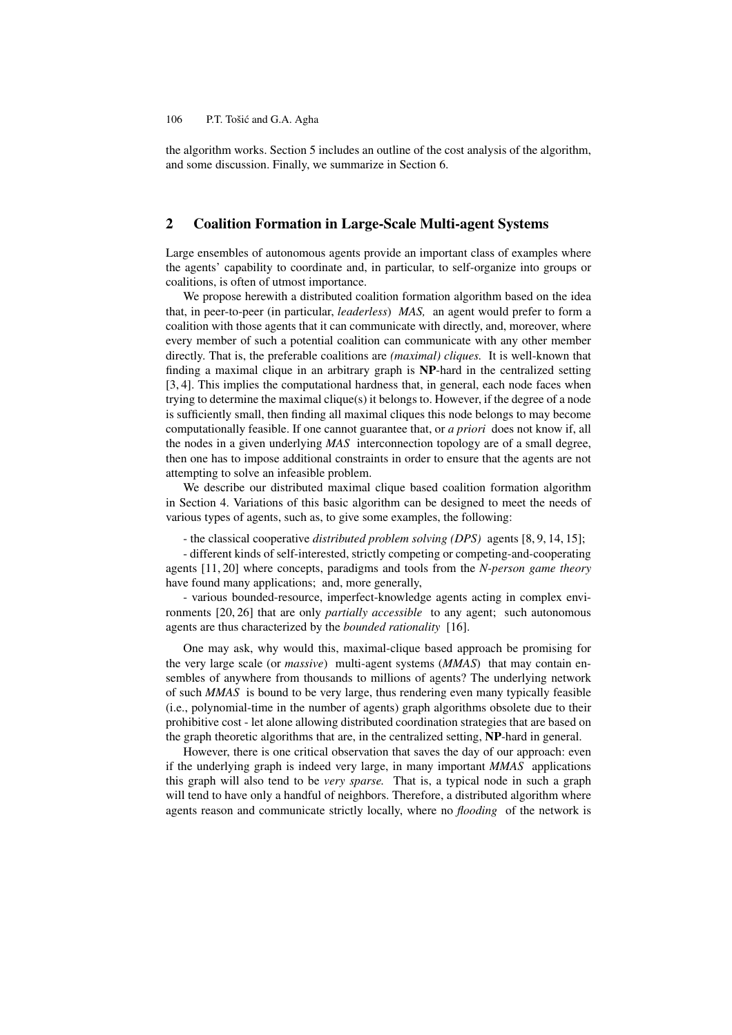the algorithm works. Section [5](#page-11-0) includes an outline of the cost analysis of the algorithm, and some discussion. Finally, we summarize in Section [6.](#page-14-0)

# <span id="page-2-0"></span>**2 Coalition Formation in Large-Scale Multi-agent Systems**

Large ensembles of autonomous agents provide an important class of examples where the agents' capability to coordinate and, in particular, to self-organize into groups or coalitions, is often of utmost importance.

We propose herewith a distributed coalition formation algorithm based on the idea that, in peer-to-peer (in particular, *leaderless*) *MAS,* an agent would prefer to form a coalition with those agents that it can communicate with directly, and, moreover, where every member of such a potential coalition can communicate with any other member directly. That is, the preferable coalitions are *(maximal) cliques.* It is well-known that finding a maximal clique in an arbitrary graph is **NP**-hard in the centralized setting [\[3,](#page-15-8) [4\]](#page-15-9). This implies the computational hardness that, in general, each node faces when trying to determine the maximal clique(s) it belongs to. However, if the degree of a node is sufficiently small, then finding all maximal cliques this node belongs to may become computationally feasible. If one cannot guarantee that, or *a priori* does not know if, all the nodes in a given underlying *MAS* interconnection topology are of a small degree, then one has to impose additional constraints in order to ensure that the agents are not attempting to solve an infeasible problem.

We describe our distributed maximal clique based coalition formation algorithm in Section [4.](#page-5-0) Variations of this basic algorithm can be designed to meet the needs of various types of agents, such as, to give some examples, the following:

- the classical cooperative *distributed problem solving (DPS)* agents [\[8,](#page-15-1) [9,](#page-15-10) [14,](#page-15-4) [15\]](#page-15-5);

- different kinds of self-interested, strictly competing or competing-and-cooperating agents [\[11,](#page-15-3) [20\]](#page-16-5) where concepts, paradigms and tools from the *N-person game theory* have found many applications; and, more generally,

- various bounded-resource, imperfect-knowledge agents acting in complex environments [\[20,](#page-16-5) [26\]](#page-16-6) that are only *partially accessible* to any agent; such autonomous agents are thus characterized by the *bounded rationality* [\[16\]](#page-15-11).

One may ask, why would this, maximal-clique based approach be promising for the very large scale (or *massive*) multi-agent systems (*MMAS*) that may contain ensembles of anywhere from thousands to millions of agents? The underlying network of such *MMAS* is bound to be very large, thus rendering even many typically feasible (i.e., polynomial-time in the number of agents) graph algorithms obsolete due to their prohibitive cost - let alone allowing distributed coordination strategies that are based on the graph theoretic algorithms that are, in the centralized setting, **NP**-hard in general.

However, there is one critical observation that saves the day of our approach: even if the underlying graph is indeed very large, in many important *MMAS* applications this graph will also tend to be *very sparse.* That is, a typical node in such a graph will tend to have only a handful of neighbors. Therefore, a distributed algorithm where agents reason and communicate strictly locally, where no *flooding* of the network is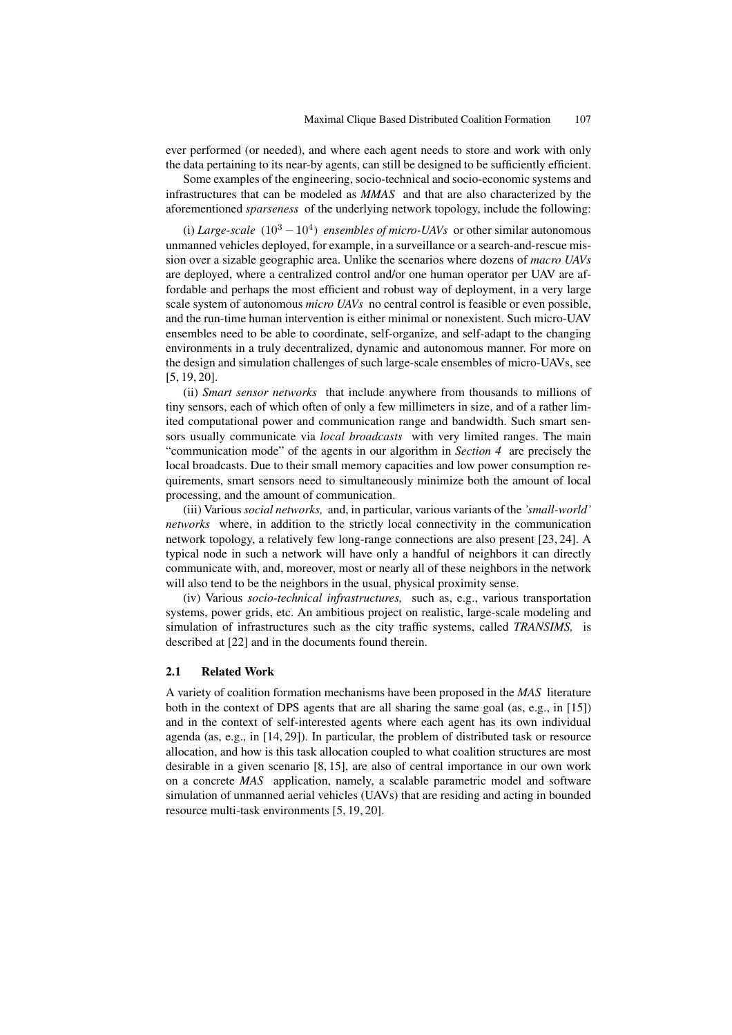ever performed (or needed), and where each agent needs to store and work with only the data pertaining to its near-by agents, can still be designed to be sufficiently efficient.

Some examples of the engineering, socio-technical and socio-economic systems and infrastructures that can be modeled as *MMAS* and that are also characterized by the aforementioned *sparseness* of the underlying network topology, include the following:

(i) *Large-scale*  $(10^3 - 10^4)$  *ensembles of micro-UAVs* or other similar autonomous unmanned vehicles deployed, for example, in a surveillance or a search-and-rescue mission over a sizable geographic area. Unlike the scenarios where dozens of *macro UAVs* are deployed, where a centralized control and/or one human operator per UAV are affordable and perhaps the most efficient and robust way of deployment, in a very large scale system of autonomous *micro UAVs* no central control is feasible or even possible, and the run-time human intervention is either minimal or nonexistent. Such micro-UAV ensembles need to be able to coordinate, self-organize, and self-adapt to the changing environments in a truly decentralized, dynamic and autonomous manner. For more on the design and simulation challenges of such large-scale ensembles of micro-UAVs, see [\[5,](#page-15-6) [19,](#page-16-4) [20\]](#page-16-5).

(ii) *Smart sensor networks* that include anywhere from thousands to millions of tiny sensors, each of which often of only a few millimeters in size, and of a rather limited computational power and communication range and bandwidth. Such smart sensors usually communicate via *local broadcasts* with very limited ranges. The main "communication mode" of the agents in our algorithm in *Section [4](#page-5-0)* are precisely the local broadcasts. Due to their small memory capacities and low power consumption requirements, smart sensors need to simultaneously minimize both the amount of local processing, and the amount of communication.

(iii) Various *social networks,* and, in particular, various variants of the *'small-world' networks* where, in addition to the strictly local connectivity in the communication network topology, a relatively few long-range connections are also present [\[23,](#page-16-7) [24\]](#page-16-8). A typical node in such a network will have only a handful of neighbors it can directly communicate with, and, moreover, most or nearly all of these neighbors in the network will also tend to be the neighbors in the usual, physical proximity sense.

(iv) Various *socio-technical infrastructures,* such as, e.g., various transportation systems, power grids, etc. An ambitious project on realistic, large-scale modeling and simulation of infrastructures such as the city traffic systems, called *TRANSIMS,* is described at [\[22\]](#page-16-9) and in the documents found therein.

#### **2.1 Related Work**

A variety of coalition formation mechanisms have been proposed in the *MAS* literature both in the context of DPS agents that are all sharing the same goal (as, e.g., in [\[15\]](#page-15-5)) and in the context of self-interested agents where each agent has its own individual agenda (as, e.g., in [\[14,](#page-15-4) [29\]](#page-16-1)). In particular, the problem of distributed task or resource allocation, and how is this task allocation coupled to what coalition structures are most desirable in a given scenario [\[8,](#page-15-1) [15\]](#page-15-5), are also of central importance in our own work on a concrete *MAS* application, namely, a scalable parametric model and software simulation of unmanned aerial vehicles (UAVs) that are residing and acting in bounded resource multi-task environments [\[5,](#page-15-6) [19,](#page-16-4) [20\]](#page-16-5).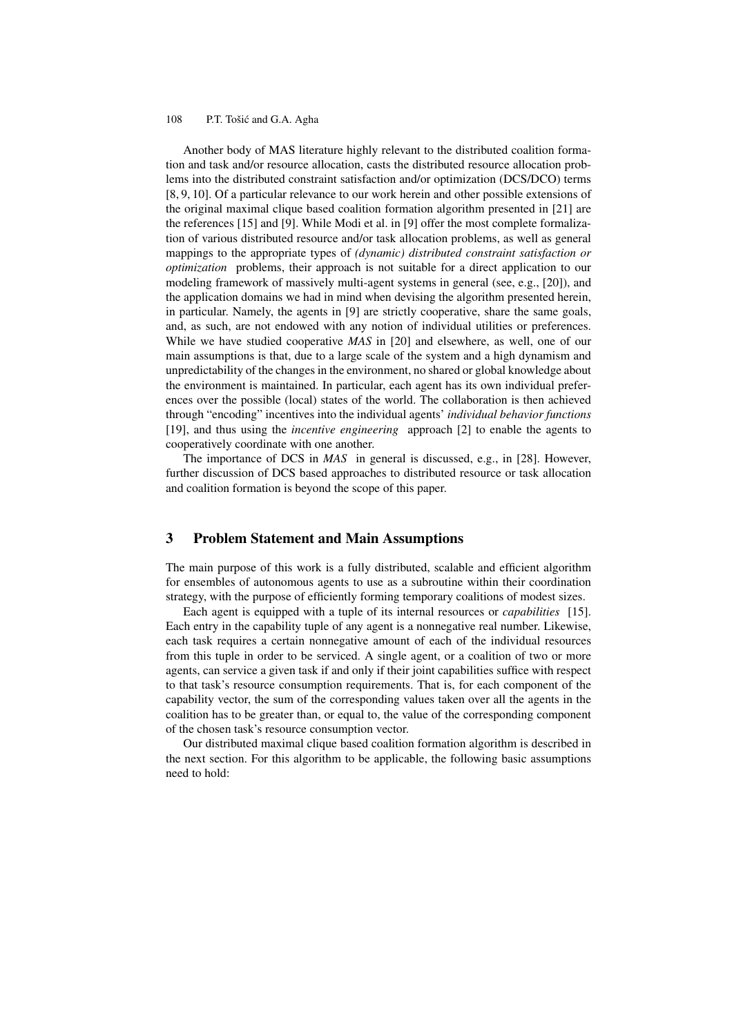Another body of MAS literature highly relevant to the distributed coalition formation and task and/or resource allocation, casts the distributed resource allocation problems into the distributed constraint satisfaction and/or optimization (DCS/DCO) terms [\[8,](#page-15-1) [9,](#page-15-10) [10\]](#page-15-2). Of a particular relevance to our work herein and other possible extensions of the original maximal clique based coalition formation algorithm presented in [\[21\]](#page-16-10) are the references [\[15\]](#page-15-5) and [\[9\]](#page-15-10). While Modi et al. in [\[9\]](#page-15-10) offer the most complete formalization of various distributed resource and/or task allocation problems, as well as general mappings to the appropriate types of *(dynamic) distributed constraint satisfaction or optimization* problems, their approach is not suitable for a direct application to our modeling framework of massively multi-agent systems in general (see, e.g., [\[20\]](#page-16-5)), and the application domains we had in mind when devising the algorithm presented herein, in particular. Namely, the agents in [\[9\]](#page-15-10) are strictly cooperative, share the same goals, and, as such, are not endowed with any notion of individual utilities or preferences. While we have studied cooperative *MAS* in [\[20\]](#page-16-5) and elsewhere, as well, one of our main assumptions is that, due to a large scale of the system and a high dynamism and unpredictability of the changes in the environment, no shared or global knowledge about the environment is maintained. In particular, each agent has its own individual preferences over the possible (local) states of the world. The collaboration is then achieved through "encoding" incentives into the individual agents' *individual behavior functions* [\[19\]](#page-16-4), and thus using the *incentive engineering* approach [\[2\]](#page-15-12) to enable the agents to cooperatively coordinate with one another.

The importance of DCS in *MAS* in general is discussed, e.g., in [\[28\]](#page-16-11). However, further discussion of DCS based approaches to distributed resource or task allocation and coalition formation is beyond the scope of this paper.

## <span id="page-4-0"></span>**3 Problem Statement and Main Assumptions**

The main purpose of this work is a fully distributed, scalable and efficient algorithm for ensembles of autonomous agents to use as a subroutine within their coordination strategy, with the purpose of efficiently forming temporary coalitions of modest sizes.

Each agent is equipped with a tuple of its internal resources or *capabilities* [\[15\]](#page-15-5). Each entry in the capability tuple of any agent is a nonnegative real number. Likewise, each task requires a certain nonnegative amount of each of the individual resources from this tuple in order to be serviced. A single agent, or a coalition of two or more agents, can service a given task if and only if their joint capabilities suffice with respect to that task's resource consumption requirements. That is, for each component of the capability vector, the sum of the corresponding values taken over all the agents in the coalition has to be greater than, or equal to, the value of the corresponding component of the chosen task's resource consumption vector.

Our distributed maximal clique based coalition formation algorithm is described in the next section. For this algorithm to be applicable, the following basic assumptions need to hold: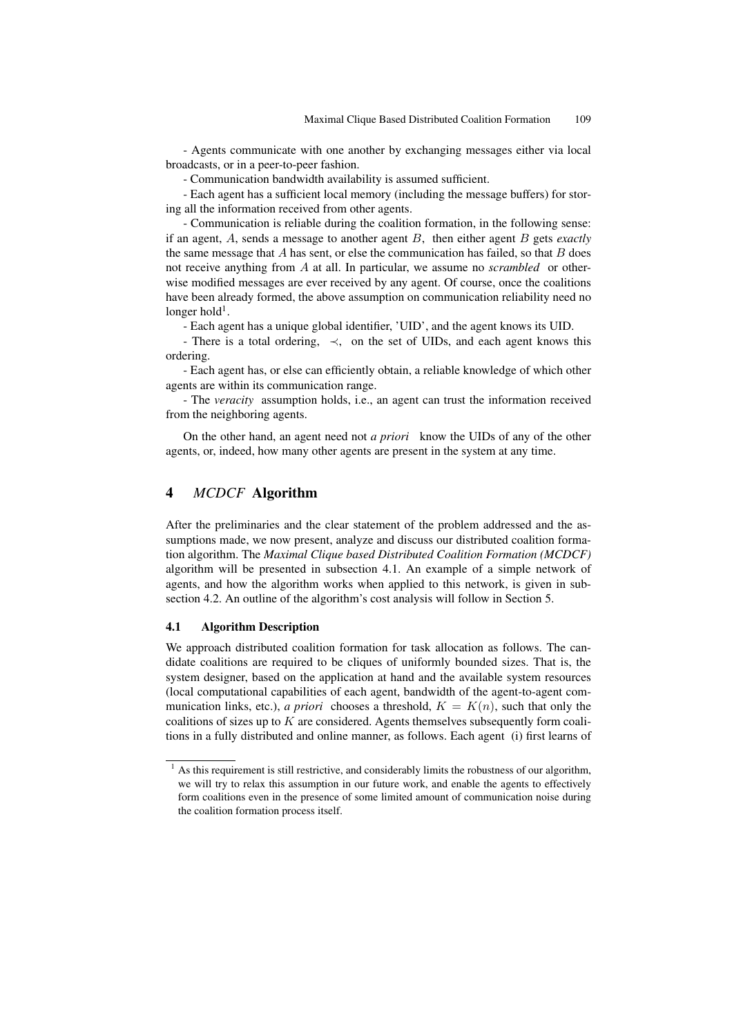- Agents communicate with one another by exchanging messages either via local broadcasts, or in a peer-to-peer fashion.

- Communication bandwidth availability is assumed sufficient.

- Each agent has a sufficient local memory (including the message buffers) for storing all the information received from other agents.

- Communication is reliable during the coalition formation, in the following sense: if an agent, *A*, sends a message to another agent *B*, then either agent *B* gets *exactly* the same message that *A* has sent, or else the communication has failed, so that *B* does not receive anything from *A* at all. In particular, we assume no *scrambled* or otherwise modified messages are ever received by any agent. Of course, once the coalitions have been already formed, the above assumption on communication reliability need no longer hold<sup>1</sup>.

- Each agent has a unique global identifier, 'UID', and the agent knows its UID.

- There is a total ordering, ≺, on the set of UIDs, and each agent knows this ordering.

- Each agent has, or else can efficiently obtain, a reliable knowledge of which other agents are within its communication range.

- The *veracity* assumption holds, i.e., an agent can trust the information received from the neighboring agents.

On the other hand, an agent need not *a priori* know the UIDs of any of the other agents, or, indeed, how many other agents are present in the system at any time.

# <span id="page-5-0"></span>**4** *MCDCF* **Algorithm**

After the preliminaries and the clear statement of the problem addressed and the assumptions made, we now present, analyze and discuss our distributed coalition formation algorithm. The *Maximal Clique based Distributed Coalition Formation (MCDCF)* algorithm will be presented in subsection [4.1.](#page-5-2) An example of a simple network of agents, and how the algorithm works when applied to this network, is given in subsection [4.2.](#page-8-0) An outline of the algorithm's cost analysis will follow in Section [5.](#page-11-0)

## <span id="page-5-2"></span>**4.1 Algorithm Description**

We approach distributed coalition formation for task allocation as follows. The candidate coalitions are required to be cliques of uniformly bounded sizes. That is, the system designer, based on the application at hand and the available system resources (local computational capabilities of each agent, bandwidth of the agent-to-agent communication links, etc.), *a priori* chooses a threshold,  $K = K(n)$ , such that only the coalitions of sizes up to *K* are considered. Agents themselves subsequently form coalitions in a fully distributed and online manner, as follows. Each agent (i) first learns of

<span id="page-5-1"></span> $1/1$  As this requirement is still restrictive, and considerably limits the robustness of our algorithm, we will try to relax this assumption in our future work, and enable the agents to effectively form coalitions even in the presence of some limited amount of communication noise during the coalition formation process itself.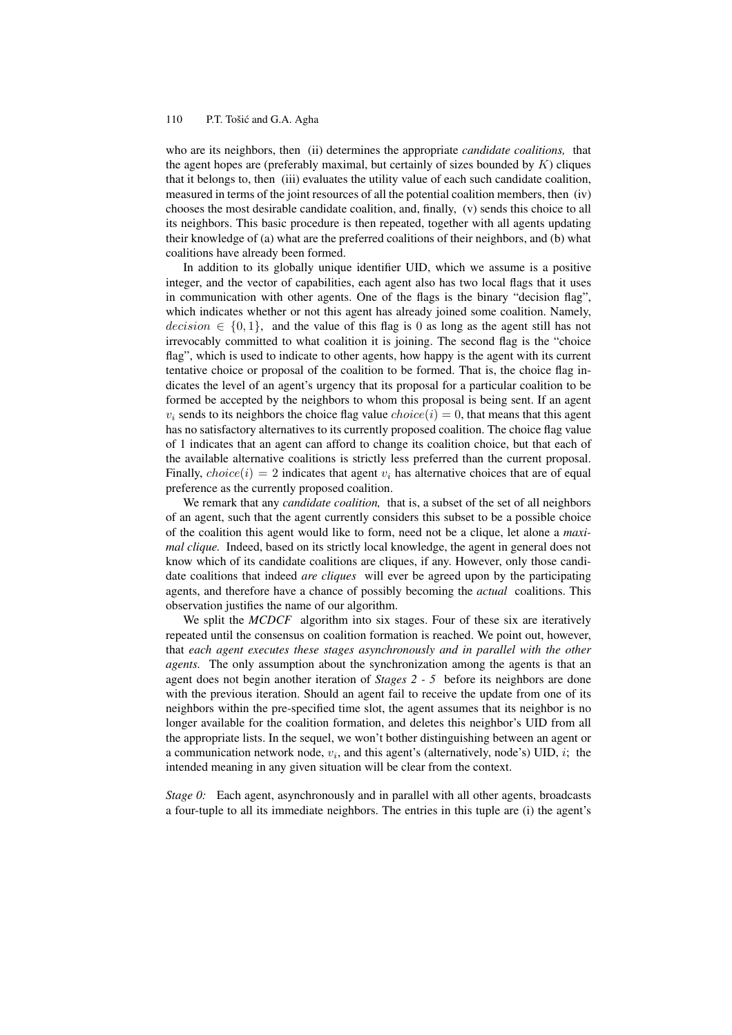who are its neighbors, then (ii) determines the appropriate *candidate coalitions,* that the agent hopes are (preferably maximal, but certainly of sizes bounded by *K*) cliques that it belongs to, then (iii) evaluates the utility value of each such candidate coalition, measured in terms of the joint resources of all the potential coalition members, then (iv) chooses the most desirable candidate coalition, and, finally, (v) sends this choice to all its neighbors. This basic procedure is then repeated, together with all agents updating their knowledge of (a) what are the preferred coalitions of their neighbors, and (b) what coalitions have already been formed.

In addition to its globally unique identifier UID, which we assume is a positive integer, and the vector of capabilities, each agent also has two local flags that it uses in communication with other agents. One of the flags is the binary "decision flag", which indicates whether or not this agent has already joined some coalition. Namely,  $decision \in \{0,1\}$ , and the value of this flag is 0 as long as the agent still has not irrevocably committed to what coalition it is joining. The second flag is the "choice flag", which is used to indicate to other agents, how happy is the agent with its current tentative choice or proposal of the coalition to be formed. That is, the choice flag indicates the level of an agent's urgency that its proposal for a particular coalition to be formed be accepted by the neighbors to whom this proposal is being sent. If an agent  $v_i$  sends to its neighbors the choice flag value  $choice(i) = 0$ , that means that this agent has no satisfactory alternatives to its currently proposed coalition. The choice flag value of 1 indicates that an agent can afford to change its coalition choice, but that each of the available alternative coalitions is strictly less preferred than the current proposal. Finally,  $choice(i) = 2$  indicates that agent  $v_i$  has alternative choices that are of equal preference as the currently proposed coalition.

We remark that any *candidate coalition,* that is, a subset of the set of all neighbors of an agent, such that the agent currently considers this subset to be a possible choice of the coalition this agent would like to form, need not be a clique, let alone a *maximal clique.* Indeed, based on its strictly local knowledge, the agent in general does not know which of its candidate coalitions are cliques, if any. However, only those candidate coalitions that indeed *are cliques* will ever be agreed upon by the participating agents, and therefore have a chance of possibly becoming the *actual* coalitions. This observation justifies the name of our algorithm.

We split the *MCDCF* algorithm into six stages. Four of these six are iteratively repeated until the consensus on coalition formation is reached. We point out, however, that *each agent executes these stages asynchronously and in parallel with the other agents.* The only assumption about the synchronization among the agents is that an agent does not begin another iteration of *Stages 2 - 5* before its neighbors are done with the previous iteration. Should an agent fail to receive the update from one of its neighbors within the pre-specified time slot, the agent assumes that its neighbor is no longer available for the coalition formation, and deletes this neighbor's UID from all the appropriate lists. In the sequel, we won't bother distinguishing between an agent or a communication network node,  $v_i$ , and this agent's (alternatively, node's) UID,  $i$ ; the intended meaning in any given situation will be clear from the context.

*Stage 0:* Each agent, asynchronously and in parallel with all other agents, broadcasts a four-tuple to all its immediate neighbors. The entries in this tuple are (i) the agent's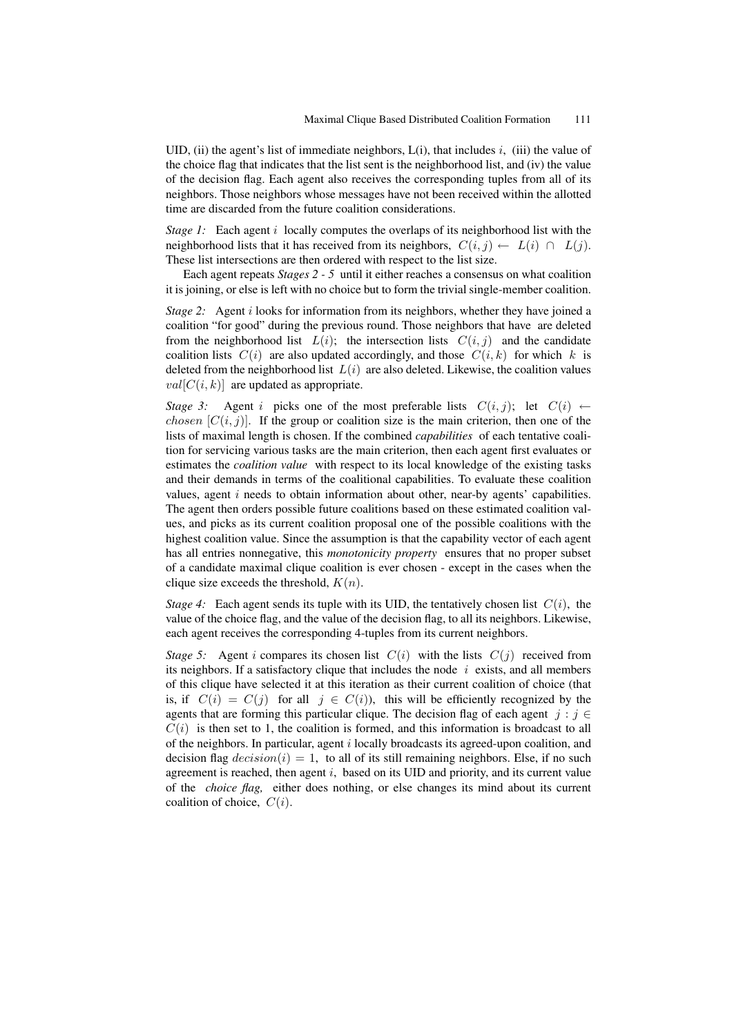UID, (ii) the agent's list of immediate neighbors,  $L(i)$ , that includes  $i$ , (iii) the value of the choice flag that indicates that the list sent is the neighborhood list, and (iv) the value of the decision flag. Each agent also receives the corresponding tuples from all of its neighbors. Those neighbors whose messages have not been received within the allotted time are discarded from the future coalition considerations.

*Stage 1:* Each agent *i* locally computes the overlaps of its neighborhood list with the neighborhood lists that it has received from its neighbors,  $C(i, j) \leftarrow L(i) \cap L(j)$ . These list intersections are then ordered with respect to the list size.

Each agent repeats *Stages 2 - 5* until it either reaches a consensus on what coalition it is joining, or else is left with no choice but to form the trivial single-member coalition.

*Stage 2:* Agent *i* looks for information from its neighbors, whether they have joined a coalition "for good" during the previous round. Those neighbors that have are deleted from the neighborhood list  $L(i)$ ; the intersection lists  $C(i, j)$  and the candidate coalition lists  $C(i)$  are also updated accordingly, and those  $C(i, k)$  for which k is deleted from the neighborhood list  $L(i)$  are also deleted. Likewise, the coalition values  $val[C(i, k)]$  are updated as appropriate.

*Stage 3:* Agent *i* picks one of the most preferable lists  $C(i, j)$ ; let  $C(i) \leftarrow$ *chosen*  $[C(i, j)]$ . If the group or coalition size is the main criterion, then one of the lists of maximal length is chosen. If the combined *capabilities* of each tentative coalition for servicing various tasks are the main criterion, then each agent first evaluates or estimates the *coalition value* with respect to its local knowledge of the existing tasks and their demands in terms of the coalitional capabilities. To evaluate these coalition values, agent *i* needs to obtain information about other, near-by agents' capabilities. The agent then orders possible future coalitions based on these estimated coalition values, and picks as its current coalition proposal one of the possible coalitions with the highest coalition value. Since the assumption is that the capability vector of each agent has all entries nonnegative, this *monotonicity property* ensures that no proper subset of a candidate maximal clique coalition is ever chosen - except in the cases when the clique size exceeds the threshold, *<sup>K</sup>*(*n*).

*Stage 4:* Each agent sends its tuple with its UID, the tentatively chosen list  $C(i)$ , the value of the choice flag, and the value of the decision flag, to all its neighbors. Likewise, each agent receives the corresponding 4-tuples from its current neighbors.

*Stage 5:* Agent *i* compares its chosen list  $C(i)$  with the lists  $C(i)$  received from its neighbors. If a satisfactory clique that includes the node *i* exists, and all members of this clique have selected it at this iteration as their current coalition of choice (that is, if  $C(i) = C(j)$  for all  $j \in C(i)$ , this will be efficiently recognized by the agents that are forming this particular clique. The decision flag of each agent *j* : *j* ∈  $C(i)$  is then set to 1, the coalition is formed, and this information is broadcast to all of the neighbors. In particular, agent *i* locally broadcasts its agreed-upon coalition, and decision flag  $decision(i) = 1$ , to all of its still remaining neighbors. Else, if no such agreement is reached, then agent *i*, based on its UID and priority, and its current value of the *choice flag,* either does nothing, or else changes its mind about its current coalition of choice, *<sup>C</sup>*(*i*).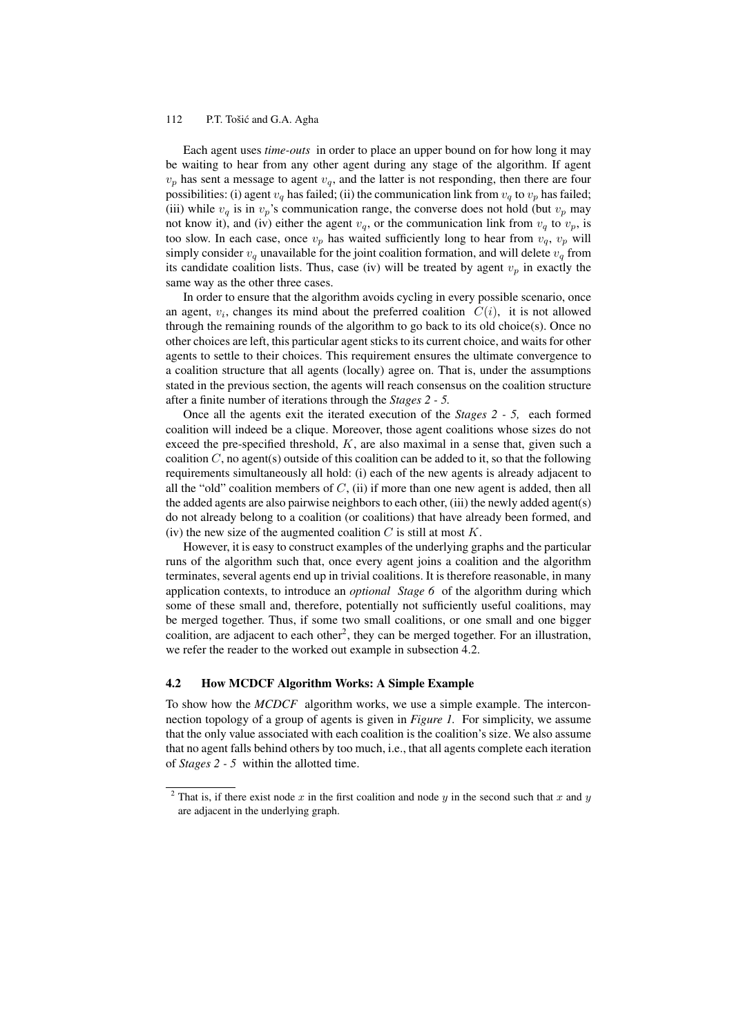Each agent uses *time-outs* in order to place an upper bound on for how long it may be waiting to hear from any other agent during any stage of the algorithm. If agent  $v_p$  has sent a message to agent  $v_q$ , and the latter is not responding, then there are four possibilities: (i) agent  $v_q$  has failed; (ii) the communication link from  $v_q$  to  $v_p$  has failed; (iii) while  $v_q$  is in  $v_p$ 's communication range, the converse does not hold (but  $v_p$  may not know it), and (iv) either the agent  $v_q$ , or the communication link from  $v_q$  to  $v_p$ , is too slow. In each case, once  $v_p$  has waited sufficiently long to hear from  $v_q$ ,  $v_p$  will simply consider  $v_q$  unavailable for the joint coalition formation, and will delete  $v_q$  from its candidate coalition lists. Thus, case (iv) will be treated by agent  $v_p$  in exactly the same way as the other three cases.

In order to ensure that the algorithm avoids cycling in every possible scenario, once an agent,  $v_i$ , changes its mind about the preferred coalition  $C(i)$ , it is not allowed through the remaining rounds of the algorithm to go back to its old choice(s). Once no other choices are left, this particular agent sticks to its current choice, and waits for other agents to settle to their choices. This requirement ensures the ultimate convergence to a coalition structure that all agents (locally) agree on. That is, under the assumptions stated in the previous section, the agents will reach consensus on the coalition structure after a finite number of iterations through the *Stages 2 - 5.*

Once all the agents exit the iterated execution of the *Stages 2 - 5,* each formed coalition will indeed be a clique. Moreover, those agent coalitions whose sizes do not exceed the pre-specified threshold, *K*, are also maximal in a sense that, given such a coalition  $C$ , no agent(s) outside of this coalition can be added to it, so that the following requirements simultaneously all hold: (i) each of the new agents is already adjacent to all the "old" coalition members of  $C$ , (ii) if more than one new agent is added, then all the added agents are also pairwise neighbors to each other, (iii) the newly added agent(s) do not already belong to a coalition (or coalitions) that have already been formed, and (iv) the new size of the augmented coalition  $C$  is still at most  $K$ .

However, it is easy to construct examples of the underlying graphs and the particular runs of the algorithm such that, once every agent joins a coalition and the algorithm terminates, several agents end up in trivial coalitions. It is therefore reasonable, in many application contexts, to introduce an *optional Stage 6* of the algorithm during which some of these small and, therefore, potentially not sufficiently useful coalitions, may be merged together. Thus, if some two small coalitions, or one small and one bigger coalition, are adjacent to each other<sup>2</sup>, they can be merged together. For an illustration, we refer the reader to the worked out example in subsection [4.2.](#page-8-0)

#### <span id="page-8-0"></span>**4.2 How MCDCF Algorithm Works: A Simple Example**

To show how the *MCDCF* algorithm works, we use a simple example. The interconnection topology of a group of agents is given in *Figure 1.* For simplicity, we assume that the only value associated with each coalition is the coalition's size. We also assume that no agent falls behind others by too much, i.e., that all agents complete each iteration of *Stages 2 - 5* within the allotted time.

<span id="page-8-1"></span><sup>&</sup>lt;sup>2</sup> That is, if there exist node  $x$  in the first coalition and node  $y$  in the second such that  $x$  and  $y$ are adjacent in the underlying graph.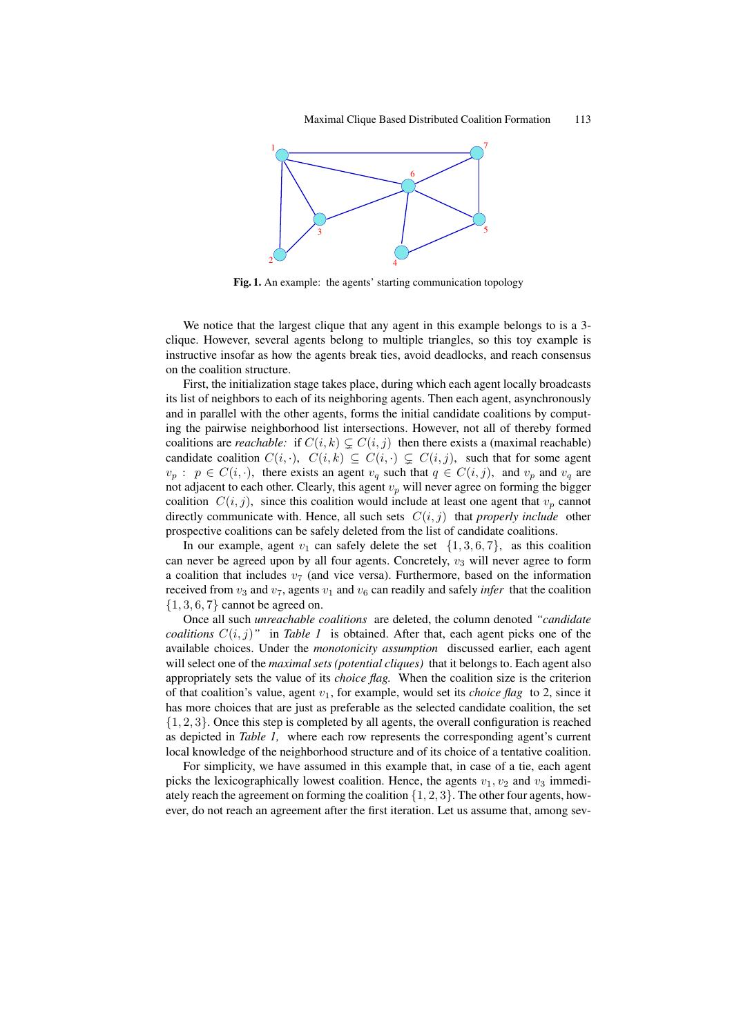

**Fig. 1.** An example: the agents' starting communication topology

We notice that the largest clique that any agent in this example belongs to is a 3clique. However, several agents belong to multiple triangles, so this toy example is instructive insofar as how the agents break ties, avoid deadlocks, and reach consensus on the coalition structure.

First, the initialization stage takes place, during which each agent locally broadcasts its list of neighbors to each of its neighboring agents. Then each agent, asynchronously and in parallel with the other agents, forms the initial candidate coalitions by computing the pairwise neighborhood list intersections. However, not all of thereby formed coalitions are *reachable:* if  $C(i, k) \subsetneq C(i, j)$  then there exists a (maximal reachable) candidate coalition  $C(i, \cdot)$ ,  $C(i, k) \subseteq C(i, \cdot) \subseteq C(i, j)$ , such that for some agent  $v_p$ :  $p \in C(i, \cdot)$ , there exists an agent  $v_q$  such that  $q \in C(i, j)$ , and  $v_p$  and  $v_q$  are not adjacent to each other. Clearly, this agent *v<sup>p</sup>* will never agree on forming the bigger coalition  $C(i, j)$ , since this coalition would include at least one agent that  $v_p$  cannot directly communicate with. Hence, all such sets *<sup>C</sup>*(*i, j*) that *properly include* other prospective coalitions can be safely deleted from the list of candidate coalitions.

In our example, agent  $v_1$  can safely delete the set  $\{1, 3, 6, 7\}$ , as this coalition can never be agreed upon by all four agents. Concretely,  $v_3$  will never agree to form a coalition that includes  $v_7$  (and vice versa). Furthermore, based on the information received from  $v_3$  and  $v_7$ , agents  $v_1$  and  $v_6$  can readily and safely *infer* that the coalition {1*,* 3*,* 6*,* 7} cannot be agreed on.

Once all such *unreachable coalitions* are deleted, the column denoted *"candidate coalitions*  $C(i, j)$ <sup>"</sup> in *Table 1* is obtained. After that, each agent picks one of the available choices. Under the *monotonicity assumption* discussed earlier, each agent will select one of the *maximal sets (potential cliques)* that it belongs to. Each agent also appropriately sets the value of its *choice flag.* When the coalition size is the criterion of that coalition's value, agent *<sup>v</sup>*1, for example, would set its *choice flag* to 2, since it has more choices that are just as preferable as the selected candidate coalition, the set {1*,* 2*,* 3}. Once this step is completed by all agents, the overall configuration is reached as depicted in *Table 1,* where each row represents the corresponding agent's current local knowledge of the neighborhood structure and of its choice of a tentative coalition.

For simplicity, we have assumed in this example that, in case of a tie, each agent picks the lexicographically lowest coalition. Hence, the agents  $v_1, v_2$  and  $v_3$  immediately reach the agreement on forming the coalition  $\{1, 2, 3\}$ . The other four agents, however, do not reach an agreement after the first iteration. Let us assume that, among sev-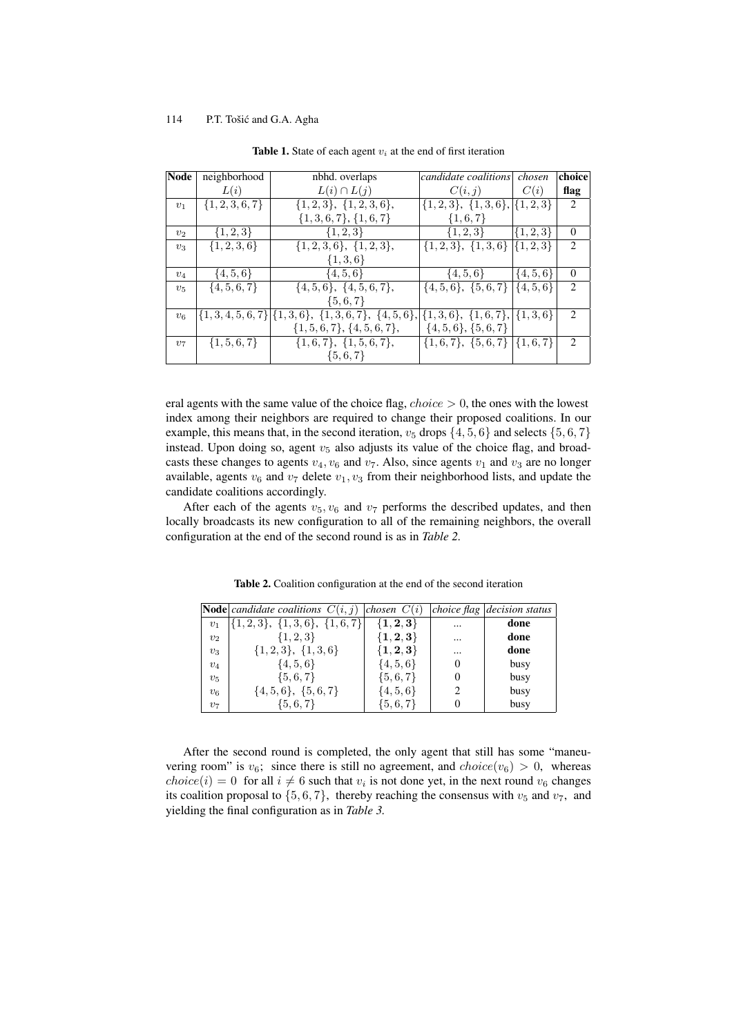| <b>Node</b>    | neighborhood        | nbhd. overlaps                                                                                        | candidate coalitions                  | chosen        | choice                      |
|----------------|---------------------|-------------------------------------------------------------------------------------------------------|---------------------------------------|---------------|-----------------------------|
|                | L(i)                | $L(i) \cap L(j)$                                                                                      | C(i,j)                                | C(i)          | flag                        |
| $v_1$          | $\{1, 2, 3, 6, 7\}$ | ${1,2,3}, {1,2,3,6},$                                                                                 | $\{1,2,3\}, \{1,3,6\}, \{\{1,2,3\}\}$ |               | 2                           |
|                |                     | $\{1,3,6,7\}, \{1,6,7\}$                                                                              | $\{1, 6, 7\}$                         |               |                             |
| v <sub>2</sub> | $\{1,2,3\}$         | $\{1, 2, 3\}$                                                                                         | $\{1, 2, 3\}$                         | $\{1, 2, 3\}$ | $\Omega$                    |
| $v_3$          | $\{1, 2, 3, 6\}$    | $\overline{\{1,2,3,6\}}, \{1,2,3\},\$                                                                 | $\{1,2,3\}, \{1,3,6\}$ $\{1,2,3\}$    |               | $\mathfrak{D}$              |
|                |                     | $\{1, 3, 6\}$                                                                                         |                                       |               |                             |
| $v_4$          | $\{4, 5, 6\}$       | $\{4, 5, 6\}$                                                                                         | $\{4, 5, 6\}$                         | $\{4, 5, 6\}$ | $\Omega$                    |
| $v_{5}$        | $\{4, 5, 6, 7\}$    | $\{4, 5, 6\}, \{4, 5, 6, 7\},\$                                                                       | $\{4,5,6\}, \{5,6,7\}$ $\{4,5,6\}$    |               | $\mathcal{L}$               |
|                |                     | $\{5,6,7\}$                                                                                           |                                       |               |                             |
| $v_{6}$        |                     | $\{1,3,4,5,6,7\}$ $\{1,3,6\}$ , $\{1,3,6,7\}$ , $\{4,5,6\}$ , $\{1,3,6\}$ , $\{1,6,7\}$ , $\{1,3,6\}$ |                                       |               | $\mathcal{D}_{\mathcal{L}}$ |
|                |                     | $\{1, 5, 6, 7\}, \{4, 5, 6, 7\},\$                                                                    | $\{4, 5, 6\}, \{5, 6, 7\}$            |               |                             |
| v <sub>7</sub> | $\{1, 5, 6, 7\}$    | $\{1,6,7\}, \{1,5,6,7\},\$                                                                            | $\{1,6,7\}, \{5,6,7\}$ $\{1,6,7\}$    |               | $\mathcal{D}_{\mathcal{L}}$ |
|                |                     | $\{5,6,7\}$                                                                                           |                                       |               |                             |

**Table 1.** State of each agent  $v_i$  at the end of first iteration

eral agents with the same value of the choice flag, *choice >* 0, the ones with the lowest index among their neighbors are required to change their proposed coalitions. In our example, this means that, in the second iteration,  $v_5$  drops  $\{4, 5, 6\}$  and selects  $\{5, 6, 7\}$ instead. Upon doing so, agent  $v<sub>5</sub>$  also adjusts its value of the choice flag, and broadcasts these changes to agents  $v_4$ ,  $v_6$  and  $v_7$ . Also, since agents  $v_1$  and  $v_3$  are no longer available, agents  $v_6$  and  $v_7$  delete  $v_1, v_3$  from their neighborhood lists, and update the candidate coalitions accordingly.

After each of the agents  $v_5$ ,  $v_6$  and  $v_7$  performs the described updates, and then locally broadcasts its new configuration to all of the remaining neighbors, the overall configuration at the end of the second round is as in *Table 2.*

**Table 2.** Coalition configuration at the end of the second iteration

|                | <b>Node</b> candidate coalitions $C(i, j)$ chosen $C(i)$ |               |          | choice flag decision status |
|----------------|----------------------------------------------------------|---------------|----------|-----------------------------|
| $v_1$          | $\{1,2,3\}, \{1,3,6\}, \{1,6,7\}$                        | ${1, 2, 3}$   | $\cdots$ | done                        |
| v <sub>2</sub> | $\{1, 2, 3\}$                                            | ${1, 2, 3}$   |          | done                        |
| $v_3$          | $\{1,2,3\}, \{1,3,6\}$                                   | ${1, 2, 3}$   |          | done                        |
| $v_4$          | $\{4, 5, 6\}$                                            | $\{4, 5, 6\}$ | $\theta$ | busy                        |
| $v_{5}$        | $\{5,6,7\}$                                              | $\{5,6,7\}$   | 0        | busy                        |
| $v_6$          | $\{4,5,6\}, \{5,6,7\}$                                   | $\{4, 5, 6\}$ | 2        | busy                        |
| $v_7$          | $\{5,6,7\}$                                              | $\{5,6,7\}$   | $\theta$ | busy                        |

After the second round is completed, the only agent that still has some "maneuvering room" is  $v_6$ ; since there is still no agreement, and  $choice(v_6) > 0$ , whereas  $choice(i) = 0$  for all  $i \neq 6$  such that  $v_i$  is not done yet, in the next round  $v_6$  changes its coalition proposal to  $\{5, 6, 7\}$ , thereby reaching the consensus with  $v_5$  and  $v_7$ , and yielding the final configuration as in *Table 3.*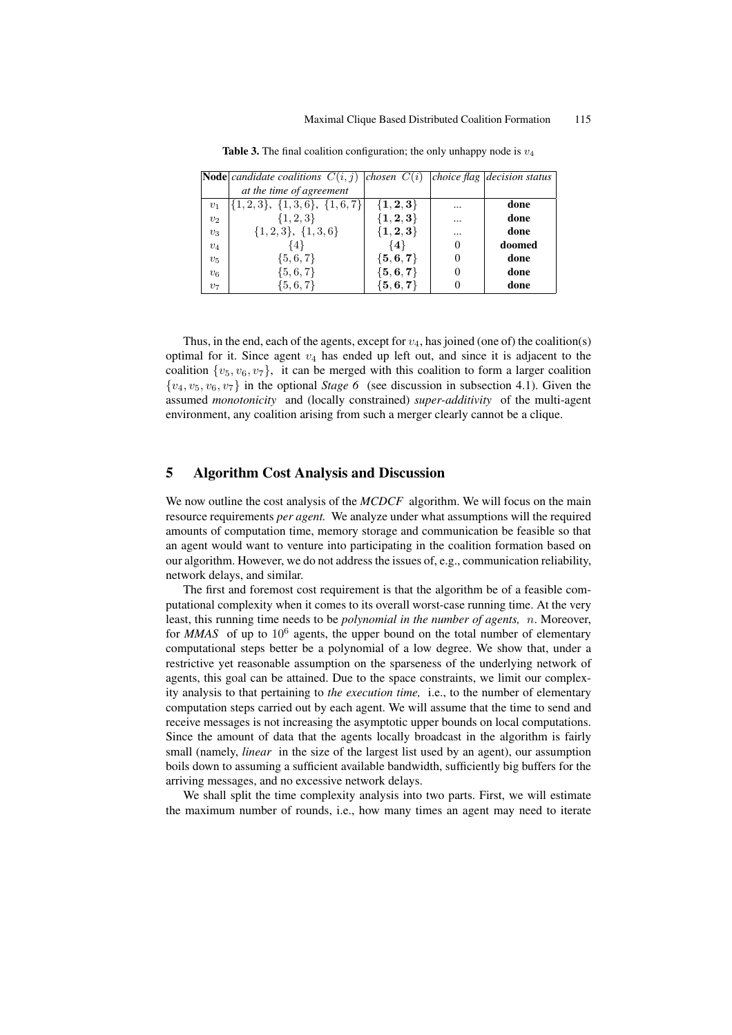|         | <b>Node</b> candidate coalitions $C(i, j)$ chosen $C(i)$ choice flag decision status |             |          |        |
|---------|--------------------------------------------------------------------------------------|-------------|----------|--------|
|         | at the time of agreement                                                             |             |          |        |
| $v_1$   | $\{1,2,3\}, \{1,3,6\}, \{1,6,7\}\$                                                   | ${1, 2, 3}$ | $\cdots$ | done   |
| $v_2$   | $\{1, 2, 3\}$                                                                        | ${1, 2, 3}$ | $\cdots$ | done   |
| $v_3$   | $\{1,2,3\}, \{1,3,6\}$                                                               | ${1, 2, 3}$ | $\cdots$ | done   |
| $v_4$   | {4}                                                                                  | {4}         | 0        | doomed |
| $v_{5}$ | $\{5,6,7\}$                                                                          | ${5, 6, 7}$ | 0        | done   |
| $v_6$   | $\{5,6,7\}$                                                                          | ${5, 6, 7}$ | 0        | done   |
| $v_7$   | $\{5,6,7\}$                                                                          | ${5, 6, 7}$ |          | done   |

**Table 3.** The final coalition configuration; the only unhappy node is  $v_4$ 

Thus, in the end, each of the agents, except for  $v_4$ , has joined (one of) the coalition(s) optimal for it. Since agent  $v_4$  has ended up left out, and since it is adjacent to the coalition  $\{v_5, v_6, v_7\}$ , it can be merged with this coalition to form a larger coalition  $\{v_4, v_5, v_6, v_7\}$  in the optional *Stage 6* (see discussion in subsection [4.1\)](#page-5-2). Given the assumed *monotonicity* and (locally constrained) *super-additivity* of the multi-agent environment, any coalition arising from such a merger clearly cannot be a clique.

### <span id="page-11-0"></span>**5 Algorithm Cost Analysis and Discussion**

We now outline the cost analysis of the *MCDCF* algorithm. We will focus on the main resource requirements *per agent.* We analyze under what assumptions will the required amounts of computation time, memory storage and communication be feasible so that an agent would want to venture into participating in the coalition formation based on our algorithm. However, we do not address the issues of, e.g., communication reliability, network delays, and similar.

The first and foremost cost requirement is that the algorithm be of a feasible computational complexity when it comes to its overall worst-case running time. At the very least, this running time needs to be *polynomial in the number of agents, n*. Moreover, for  $MMAS$  of up to  $10^6$  agents, the upper bound on the total number of elementary computational steps better be a polynomial of a low degree. We show that, under a restrictive yet reasonable assumption on the sparseness of the underlying network of agents, this goal can be attained. Due to the space constraints, we limit our complexity analysis to that pertaining to *the execution time,* i.e., to the number of elementary computation steps carried out by each agent. We will assume that the time to send and receive messages is not increasing the asymptotic upper bounds on local computations. Since the amount of data that the agents locally broadcast in the algorithm is fairly small (namely, *linear* in the size of the largest list used by an agent), our assumption boils down to assuming a sufficient available bandwidth, sufficiently big buffers for the arriving messages, and no excessive network delays.

We shall split the time complexity analysis into two parts. First, we will estimate the maximum number of rounds, i.e., how many times an agent may need to iterate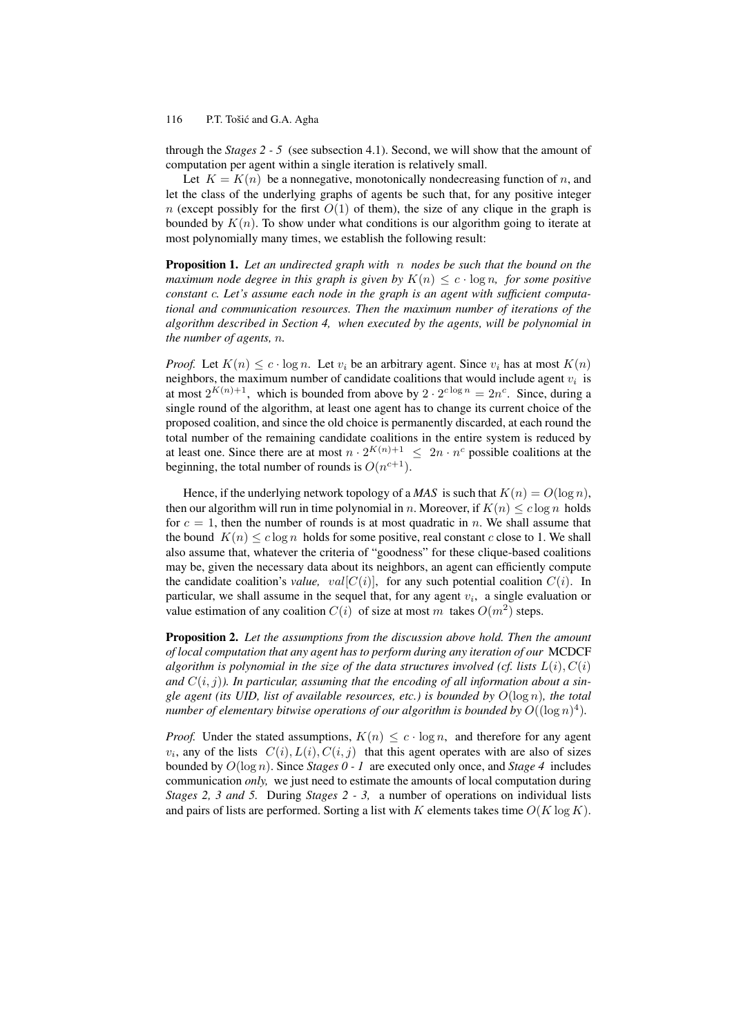through the *Stages 2 - 5* (see subsection [4.1\)](#page-5-2). Second, we will show that the amount of computation per agent within a single iteration is relatively small.

Let  $K = K(n)$  be a nonnegative, monotonically nondecreasing function of *n*, and let the class of the underlying graphs of agents be such that, for any positive integer *n* (except possibly for the first  $O(1)$  of them), the size of any clique in the graph is bounded by  $K(n)$ . To show under what conditions is our algorithm going to iterate at most polynomially many times, we establish the following result:

**Proposition 1.** *Let an undirected graph with n nodes be such that the bound on the maximum node degree in this graph is given by*  $K(n) \leq c \cdot \log n$ , for some positive *constant c. Let's assume each node in the graph is an agent with sufficient computational and communication resources. Then the maximum number of iterations of the algorithm described in Section [4,](#page-5-0) when executed by the agents, will be polynomial in the number of agents, n.*

*Proof.* Let  $K(n) \leq c \cdot \log n$ . Let  $v_i$  be an arbitrary agent. Since  $v_i$  has at most  $K(n)$ neighbors, the maximum number of candidate coalitions that would include agent  $v_i$  is at most  $2^{K(n)+1}$ , which is bounded from above by  $2 \cdot 2^{c \log n} = 2n^c$ . Since, during a single round of the algorithm, at least one agent has to change its current choice of the proposed coalition, and since the old choice is permanently discarded, at each round the total number of the remaining candidate coalitions in the entire system is reduced by at least one. Since there are at most  $n \cdot 2^{K(n)+1} < 2n \cdot n^c$  possible coalitions at the beginning, the total number of rounds is  $O(n^{c+1})$ .

Hence, if the underlying network topology of a *MAS* is such that  $K(n) = O(\log n)$ , then our algorithm will run in time polynomial in *n*. Moreover, if  $K(n) \leq c \log n$  holds for  $c = 1$ , then the number of rounds is at most quadratic in *n*. We shall assume that the bound  $K(n) \leq c \log n$  holds for some positive, real constant *c* close to 1. We shall also assume that, whatever the criteria of "goodness" for these clique-based coalitions may be, given the necessary data about its neighbors, an agent can efficiently compute the candidate coalition's *value,*  $val[C(i)]$ , for any such potential coalition  $C(i)$ . In particular, we shall assume in the sequel that, for any agent  $v_i$ , a single evaluation or value estimation of any coalition  $C(i)$  of size at most *m* takes  $O(m^2)$  steps.

**Proposition 2.** *Let the assumptions from the discussion above hold. Then the amount of local computation that any agent has to perform during any iteration of our* MCDCF *algorithm is polynomial in the size of the data structures involved (cf. lists*  $L(i)$ *,*  $C(i)$ and  $C(i, j)$ ). In particular, assuming that the encoding of all information about a sin*gle agent (its UID, list of available resources, etc.) is bounded by*  $O(\log n)$ *, the total number of elementary bitwise operations of our algorithm is bounded by*  $O((\log n)^4)$ *.* 

*Proof.* Under the stated assumptions,  $K(n) \leq c \cdot \log n$ , and therefore for any agent  $v_i$ , any of the lists  $C(i)$ ,  $L(i)$ ,  $C(i, j)$  that this agent operates with are also of sizes bounded by *<sup>O</sup>*(log *<sup>n</sup>*). Since *Stages 0 - 1* are executed only once, and *Stage 4* includes communication *only,* we just need to estimate the amounts of local computation during *Stages 2, 3 and 5.* During *Stages 2 - 3,* a number of operations on individual lists and pairs of lists are performed. Sorting a list with  $K$  elements takes time  $O(K \log K)$ .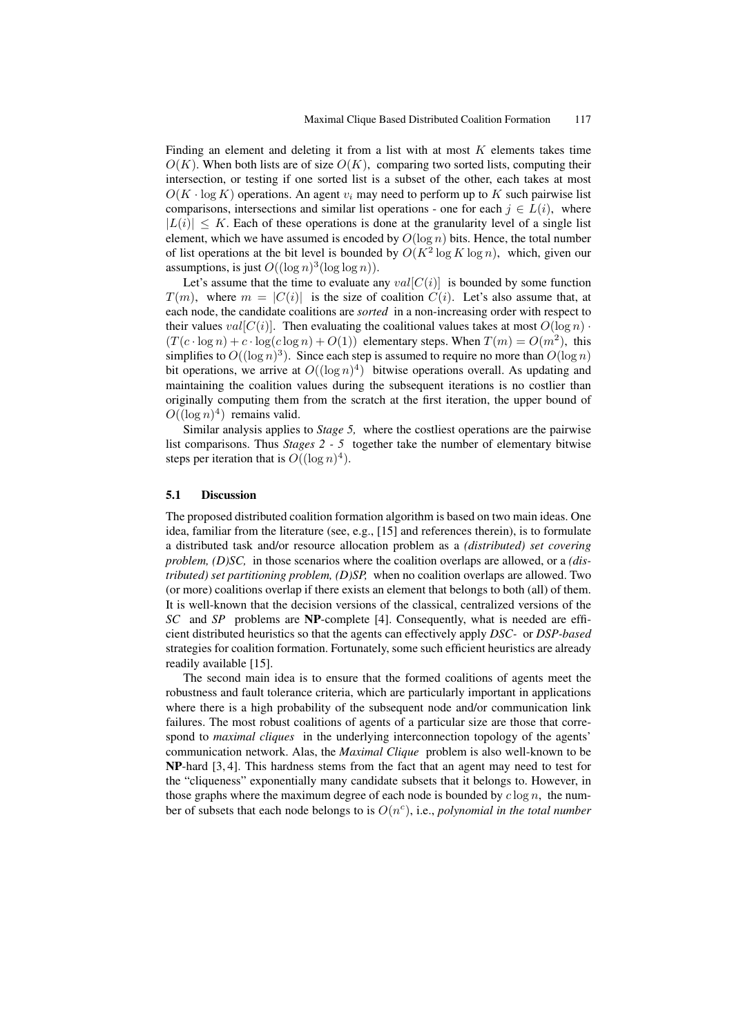Finding an element and deleting it from a list with at most *K* elements takes time  $O(K)$ . When both lists are of size  $O(K)$ , comparing two sorted lists, computing their intersection, or testing if one sorted list is a subset of the other, each takes at most  $O(K \cdot \log K)$  operations. An agent  $v_i$  may need to perform up to K such pairwise list comparisons, intersections and similar list operations - one for each  $j \in L(i)$ , where  $|L(i)| \leq K$ . Each of these operations is done at the granularity level of a single list element, which we have assumed is encoded by  $O(\log n)$  bits. Hence, the total number of list operations at the bit level is bounded by  $O(K^2 \log K \log n)$ , which, given our assumptions, is just  $O((\log n)^3(\log \log n))$ .

Let's assume that the time to evaluate any  $val[C(i)]$  is bounded by some function  $T(m)$ , where  $m = |C(i)|$  is the size of coalition  $C(i)$ . Let's also assume that, at each node, the candidate coalitions are *sorted* in a non-increasing order with respect to their values  $val[C(i)]$ . Then evaluating the coalitional values takes at most  $O(\log n)$ .  $(T(c \cdot \log n) + c \cdot \log(c \log n) + O(1))$  elementary steps. When  $T(m) = O(m^2)$ , this simplifies to  $O((\log n)^3)$ . Since each step is assumed to require no more than  $O(\log n)$ bit operations, we arrive at  $O((\log n)^4)$  bitwise operations overall. As updating and maintaining the coalition values during the subsequent iterations is no costlier than originally computing them from the scratch at the first iteration, the upper bound of  $O((\log n)^4)$  remains valid.

Similar analysis applies to *Stage 5,* where the costliest operations are the pairwise list comparisons. Thus *Stages 2 - 5* together take the number of elementary bitwise steps per iteration that is  $O((\log n)^4)$ .

#### **5.1 Discussion**

The proposed distributed coalition formation algorithm is based on two main ideas. One idea, familiar from the literature (see, e.g., [\[15\]](#page-15-5) and references therein), is to formulate a distributed task and/or resource allocation problem as a *(distributed) set covering problem, (D)SC,* in those scenarios where the coalition overlaps are allowed, or a *(distributed) set partitioning problem, (D)SP,* when no coalition overlaps are allowed. Two (or more) coalitions overlap if there exists an element that belongs to both (all) of them. It is well-known that the decision versions of the classical, centralized versions of the *SC* and *SP* problems are **NP**-complete [\[4\]](#page-15-9). Consequently, what is needed are efficient distributed heuristics so that the agents can effectively apply *DSC-* or *DSP-based* strategies for coalition formation. Fortunately, some such efficient heuristics are already readily available [\[15\]](#page-15-5).

The second main idea is to ensure that the formed coalitions of agents meet the robustness and fault tolerance criteria, which are particularly important in applications where there is a high probability of the subsequent node and/or communication link failures. The most robust coalitions of agents of a particular size are those that correspond to *maximal cliques* in the underlying interconnection topology of the agents' communication network. Alas, the *Maximal Clique* problem is also well-known to be **NP**-hard [\[3,](#page-15-8) [4\]](#page-15-9). This hardness stems from the fact that an agent may need to test for the "cliqueness" exponentially many candidate subsets that it belongs to. However, in those graphs where the maximum degree of each node is bounded by *<sup>c</sup>* log *<sup>n</sup>*, the number of subsets that each node belongs to is *<sup>O</sup>*(*n<sup>c</sup>*), i.e., *polynomial in the total number*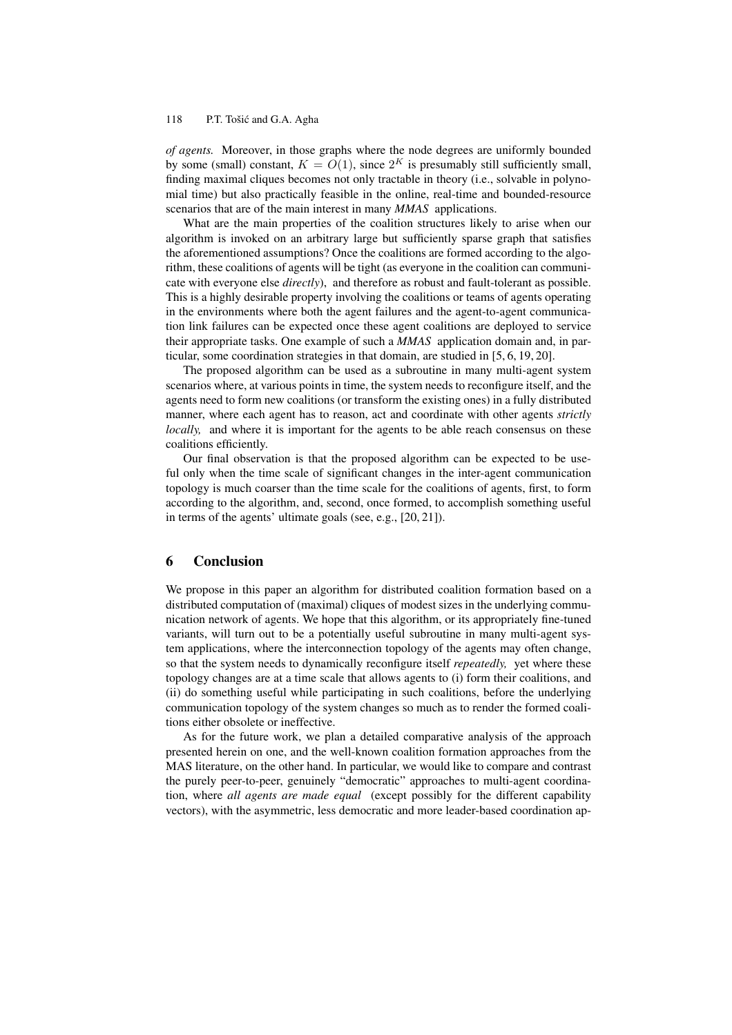*of agents.* Moreover, in those graphs where the node degrees are uniformly bounded by some (small) constant,  $K = O(1)$ , since  $2^K$  is presumably still sufficiently small, finding maximal cliques becomes not only tractable in theory (i.e., solvable in polynomial time) but also practically feasible in the online, real-time and bounded-resource scenarios that are of the main interest in many *MMAS* applications.

What are the main properties of the coalition structures likely to arise when our algorithm is invoked on an arbitrary large but sufficiently sparse graph that satisfies the aforementioned assumptions? Once the coalitions are formed according to the algorithm, these coalitions of agents will be tight (as everyone in the coalition can communicate with everyone else *directly*), and therefore as robust and fault-tolerant as possible. This is a highly desirable property involving the coalitions or teams of agents operating in the environments where both the agent failures and the agent-to-agent communication link failures can be expected once these agent coalitions are deployed to service their appropriate tasks. One example of such a *MMAS* application domain and, in particular, some coordination strategies in that domain, are studied in [\[5,](#page-15-6) [6,](#page-15-7) [19,](#page-16-4) [20\]](#page-16-5).

The proposed algorithm can be used as a subroutine in many multi-agent system scenarios where, at various points in time, the system needs to reconfigure itself, and the agents need to form new coalitions (or transform the existing ones) in a fully distributed manner, where each agent has to reason, act and coordinate with other agents *strictly locally*, and where it is important for the agents to be able reach consensus on these coalitions efficiently.

Our final observation is that the proposed algorithm can be expected to be useful only when the time scale of significant changes in the inter-agent communication topology is much coarser than the time scale for the coalitions of agents, first, to form according to the algorithm, and, second, once formed, to accomplish something useful in terms of the agents' ultimate goals (see, e.g., [\[20,](#page-16-5) [21\]](#page-16-10)).

# <span id="page-14-0"></span>**6 Conclusion**

We propose in this paper an algorithm for distributed coalition formation based on a distributed computation of (maximal) cliques of modest sizes in the underlying communication network of agents. We hope that this algorithm, or its appropriately fine-tuned variants, will turn out to be a potentially useful subroutine in many multi-agent system applications, where the interconnection topology of the agents may often change, so that the system needs to dynamically reconfigure itself *repeatedly,* yet where these topology changes are at a time scale that allows agents to (i) form their coalitions, and (ii) do something useful while participating in such coalitions, before the underlying communication topology of the system changes so much as to render the formed coalitions either obsolete or ineffective.

As for the future work, we plan a detailed comparative analysis of the approach presented herein on one, and the well-known coalition formation approaches from the MAS literature, on the other hand. In particular, we would like to compare and contrast the purely peer-to-peer, genuinely "democratic" approaches to multi-agent coordination, where *all agents are made equal* (except possibly for the different capability vectors), with the asymmetric, less democratic and more leader-based coordination ap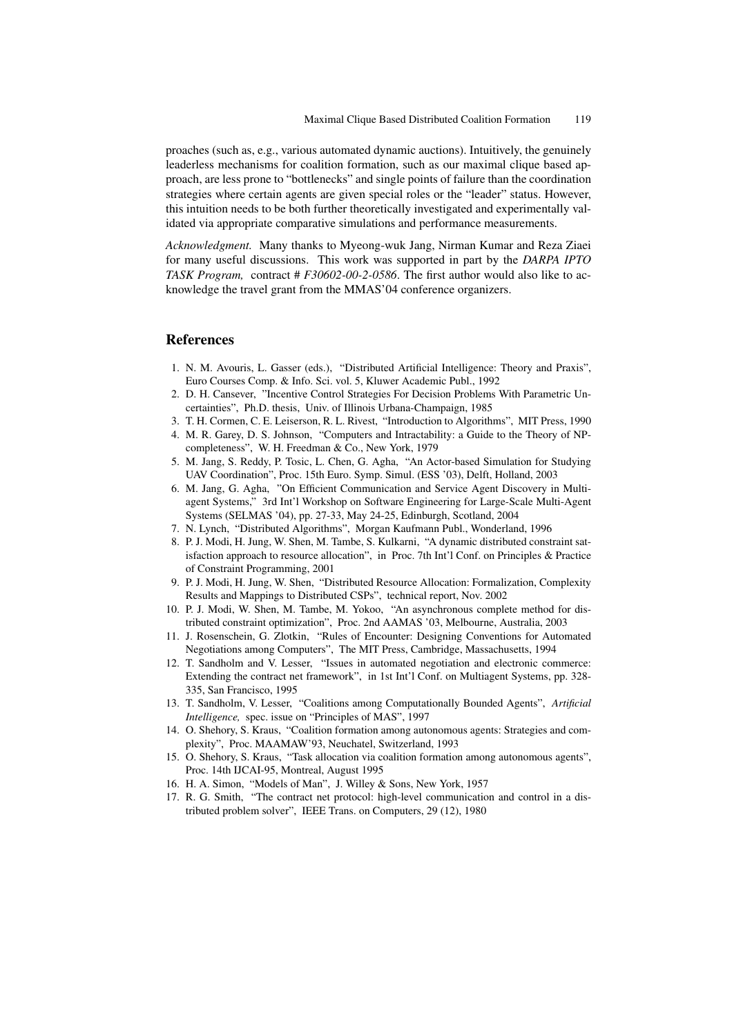proaches (such as, e.g., various automated dynamic auctions). Intuitively, the genuinely leaderless mechanisms for coalition formation, such as our maximal clique based approach, are less prone to "bottlenecks" and single points of failure than the coordination strategies where certain agents are given special roles or the "leader" status. However, this intuition needs to be both further theoretically investigated and experimentally validated via appropriate comparative simulations and performance measurements.

*Acknowledgment.* Many thanks to Myeong-wuk Jang, Nirman Kumar and Reza Ziaei for many useful discussions. This work was supported in part by the *DARPA IPTO TASK Program,* contract #  $F30602-00-2-0586$ . The first author would also like to acknowledge the travel grant from the MMAS'04 conference organizers.

## **References**

- 1. N. M. Avouris, L. Gasser (eds.), "Distributed Artificial Intelligence: Theory and Praxis", Euro Courses Comp. & Info. Sci. vol. 5, Kluwer Academic Publ., 1992
- <span id="page-15-12"></span>2. D. H. Cansever, "Incentive Control Strategies For Decision Problems With Parametric Uncertainties", Ph.D. thesis, Univ. of Illinois Urbana-Champaign, 1985
- <span id="page-15-9"></span><span id="page-15-8"></span>3. T. H. Cormen, C. E. Leiserson, R. L. Rivest, "Introduction to Algorithms", MIT Press, 1990
- 4. M. R. Garey, D. S. Johnson, "Computers and Intractability: a Guide to the Theory of NPcompleteness", W. H. Freedman & Co., New York, 1979
- <span id="page-15-6"></span>5. M. Jang, S. Reddy, P. Tosic, L. Chen, G. Agha, "An Actor-based Simulation for Studying UAV Coordination", Proc. 15th Euro. Symp. Simul. (ESS '03), Delft, Holland, 2003
- <span id="page-15-7"></span>6. M. Jang, G. Agha, "On Efficient Communication and Service Agent Discovery in Multiagent Systems," 3rd Int'l Workshop on Software Engineering for Large-Scale Multi-Agent Systems (SELMAS '04), pp. 27-33, May 24-25, Edinburgh, Scotland, 2004
- <span id="page-15-1"></span><span id="page-15-0"></span>7. N. Lynch, "Distributed Algorithms", Morgan Kaufmann Publ., Wonderland, 1996
- 8. P. J. Modi, H. Jung, W. Shen, M. Tambe, S. Kulkarni, "A dynamic distributed constraint satisfaction approach to resource allocation", in Proc. 7th Int'l Conf. on Principles & Practice of Constraint Programming, 2001
- <span id="page-15-10"></span>9. P. J. Modi, H. Jung, W. Shen, "Distributed Resource Allocation: Formalization, Complexity Results and Mappings to Distributed CSPs", technical report, Nov. 2002
- <span id="page-15-2"></span>10. P. J. Modi, W. Shen, M. Tambe, M. Yokoo, "An asynchronous complete method for distributed constraint optimization", Proc. 2nd AAMAS '03, Melbourne, Australia, 2003
- <span id="page-15-3"></span>11. J. Rosenschein, G. Zlotkin, "Rules of Encounter: Designing Conventions for Automated Negotiations among Computers", The MIT Press, Cambridge, Massachusetts, 1994
- 12. T. Sandholm and V. Lesser, "Issues in automated negotiation and electronic commerce: Extending the contract net framework", in 1st Int'l Conf. on Multiagent Systems, pp. 328- 335, San Francisco, 1995
- 13. T. Sandholm, V. Lesser, "Coalitions among Computationally Bounded Agents", *Artificial Intelligence,* spec. issue on "Principles of MAS", 1997
- <span id="page-15-4"></span>14. O. Shehory, S. Kraus, "Coalition formation among autonomous agents: Strategies and complexity", Proc. MAAMAW'93, Neuchatel, Switzerland, 1993
- <span id="page-15-5"></span>15. O. Shehory, S. Kraus, "Task allocation via coalition formation among autonomous agents", Proc. 14th IJCAI-95, Montreal, August 1995
- <span id="page-15-11"></span>16. H. A. Simon, "Models of Man", J. Willey & Sons, New York, 1957
- 17. R. G. Smith, "The contract net protocol: high-level communication and control in a distributed problem solver", IEEE Trans. on Computers, 29 (12), 1980